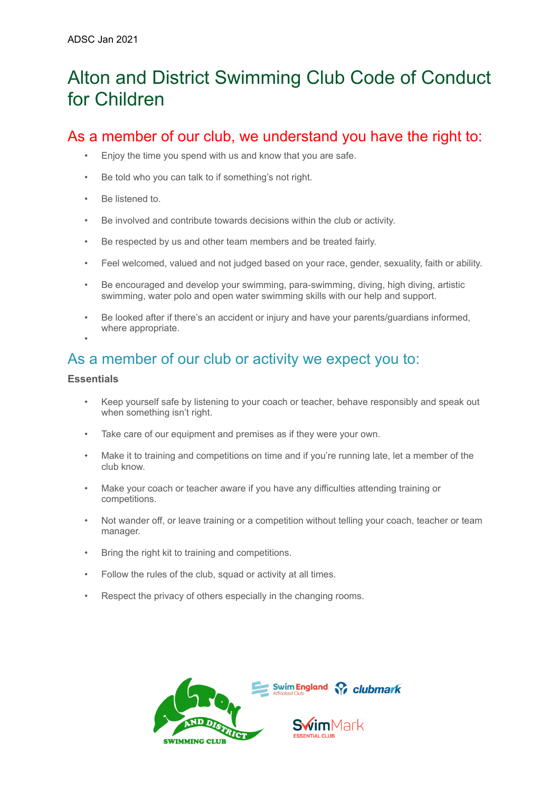# Alton and District Swimming Club Code of Conduct for Children

## As a member of our club, we understand you have the right to:

- Enjoy the time you spend with us and know that you are safe.
- Be told who you can talk to if something's not right.
- Be listened to.
- Be involved and contribute towards decisions within the club or activity.
- Be respected by us and other team members and be treated fairly.
- Feel welcomed, valued and not judged based on your race, gender, sexuality, faith or ability.
- Be encouraged and develop your swimming, para-swimming, diving, high diving, artistic swimming, water polo and open water swimming skills with our help and support.
- Be looked after if there's an accident or injury and have your parents/guardians informed, where appropriate.

### As a member of our club or activity we expect you to:

#### **Essentials**

•

- Keep yourself safe by listening to your coach or teacher, behave responsibly and speak out when something isn't right.
- Take care of our equipment and premises as if they were your own.
- Make it to training and competitions on time and if you're running late, let a member of the club know.
- Make your coach or teacher aware if you have any difficulties attending training or competitions.
- Not wander off, or leave training or a competition without telling your coach, teacher or team manager.
- Bring the right kit to training and competitions.
- Follow the rules of the club, squad or activity at all times.
- Respect the privacy of others especially in the changing rooms.